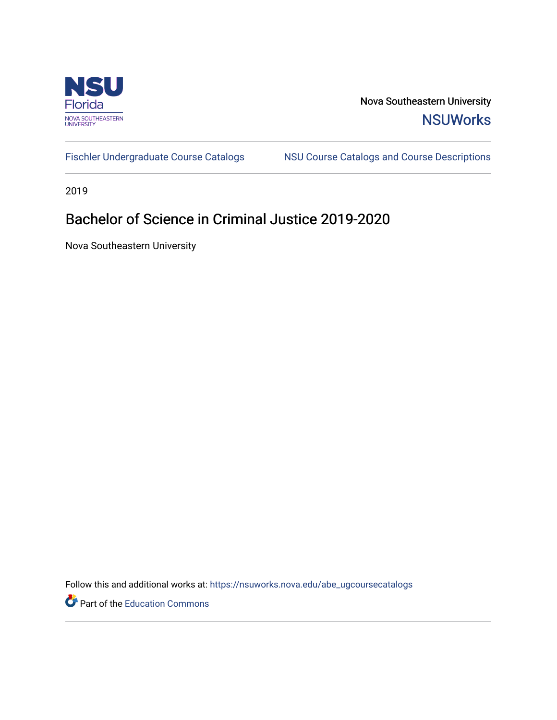

Nova Southeastern University **NSUWorks** 

[Fischler Undergraduate Course Catalogs](https://nsuworks.nova.edu/abe_ugcoursecatalogs) MSU Course Catalogs and Course Descriptions

2019

# Bachelor of Science in Criminal Justice 2019-2020

Nova Southeastern University

Follow this and additional works at: [https://nsuworks.nova.edu/abe\\_ugcoursecatalogs](https://nsuworks.nova.edu/abe_ugcoursecatalogs?utm_source=nsuworks.nova.edu%2Fabe_ugcoursecatalogs%2F38&utm_medium=PDF&utm_campaign=PDFCoverPages) 

Part of the [Education Commons](http://network.bepress.com/hgg/discipline/784?utm_source=nsuworks.nova.edu%2Fabe_ugcoursecatalogs%2F38&utm_medium=PDF&utm_campaign=PDFCoverPages)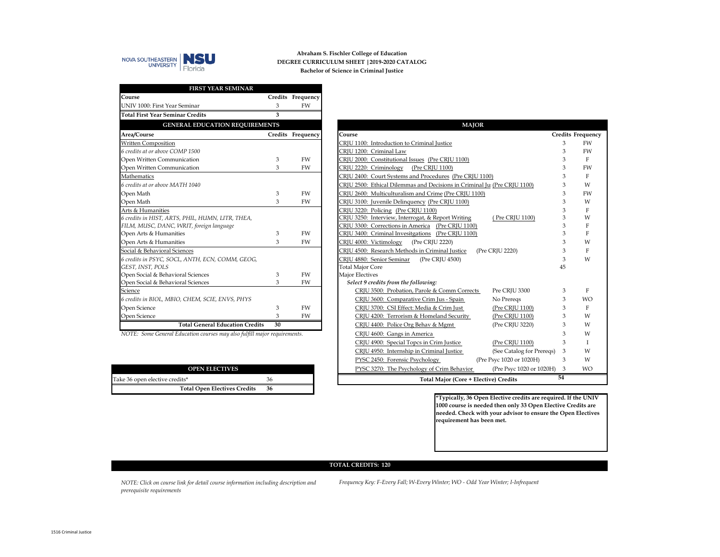

## **DEGREE CURRICULUM SHEET |2019-2020 CATALOG Abraham S. Fischler College of Education Bachelor of Science in Criminal Justice**

| FIRST YEAR SEMINAR                               |         |                   |
|--------------------------------------------------|---------|-------------------|
| Course                                           |         | Credits Frequency |
| UNIV 1000: First Year Seminar                    | 3       | FW                |
| <b>Total First Year Seminar Credits</b>          | 3       |                   |
| <b>GENERAL EDUCATION REQUIREMENTS</b>            |         |                   |
| Area/Course                                      | Credits | Frequency         |
| <b>Written Composition</b>                       |         |                   |
| 6 credits at or above COMP 1500                  |         |                   |
| Open Written Communication                       | 3       | FW                |
| Open Written Communication                       | 3       | FW                |
| Mathematics                                      |         |                   |
| 6 credits at or above MATH 1040                  |         |                   |
| Open Math                                        | 3       | <b>FW</b>         |
| Open Math                                        | 3       | FW                |
| Arts & Humanities                                |         |                   |
| 6 credits in HIST, ARTS, PHIL, HUMN, LITR, THEA, |         |                   |
| FILM, MUSC, DANC, WRIT, foreign language         |         |                   |
| Open Arts & Humanities                           | 3       | FW                |
| Open Arts & Humanities                           | 3       | <b>FW</b>         |
| Social & Behavioral Sciences                     |         |                   |
| 6 credits in PSYC, SOCL, ANTH, ECN, COMM, GEOG,  |         |                   |
| GEST, INST, POLS                                 |         |                   |
| Open Social & Behavioral Sciences                | 3       | <b>FW</b>         |
| Open Social & Behavioral Sciences                | 3       | FW                |
| Science                                          |         |                   |
| 6 credits in BIOL, MBIO, CHEM, SCIE, ENVS, PHYS  |         |                   |
| Open Science                                     | 3       | <b>FW</b>         |
| Open Science                                     | 3       | <b>FW</b>         |
| <b>Total General Education Credits</b>           | 30      |                   |

*NOTE: Some General Education courses may also fulfill major requirements.* 

| <b>OPEN ELECTIVES</b>               |    |
|-------------------------------------|----|
| Take 36 open elective credits*      | 36 |
| <b>Total Open Electives Credits</b> | 36 |

| <b>MAJOR</b>                                                              |    |                          |  |  |  |
|---------------------------------------------------------------------------|----|--------------------------|--|--|--|
| Course                                                                    |    | <b>Credits Frequency</b> |  |  |  |
| CRJU 1100: Introduction to Criminal Justice                               | 3  | <b>FW</b>                |  |  |  |
| CRJU 1200: Criminal Law                                                   | 3  | FW                       |  |  |  |
| CRJU 2000: Constitutional Issues (Pre CRJU 1100)                          | 3  | F                        |  |  |  |
| CRJU 2220: Criminology (Pre CRJU 1100)                                    | 3  | FW                       |  |  |  |
| CRJU 2400: Court Systems and Procedures (Pre CRJU 1100)                   | 3  | F                        |  |  |  |
| CRJU 2500: Ethical Dilemmas and Decisions in Criminal Ju: (Pre CRJU 1100) | 3  | W                        |  |  |  |
| CRJU 2600: Multiculturalism and Crime (Pre CRJU 1100)                     | 3  | <b>FW</b>                |  |  |  |
| CRJU 3100: Juvenile Delinquency (Pre CRJU 1100)                           | 3  | W                        |  |  |  |
| CRJU 3220: Policing (Pre CRJU 1100)                                       | 3  | F                        |  |  |  |
| CRJU 3250: Interview, Interrogat, & Report Writing<br>(Pre CRJU 1100)     | 3  | W                        |  |  |  |
| CRJU 3300: Corrections in America (Pre CRJU 1100)                         | 3  | F                        |  |  |  |
| CRJU 3400: Criminal Invesitgations (Pre CRJU 1100)                        | 3  | F                        |  |  |  |
| CRJU 4000: Victimology<br>(Pre CRJU 2220)                                 | 3  | W                        |  |  |  |
| CRJU 4500: Research Methods in Criminal Justice<br>(Pre CRJU 2220)        | 3  | F                        |  |  |  |
| (Pre CRJU 4500)<br>CRJU 4880: Senior Seminar                              | 3  | W                        |  |  |  |
| <b>Total Major Core</b>                                                   | 45 |                          |  |  |  |
| <b>Major Electives</b>                                                    |    |                          |  |  |  |
| Select 9 credits from the following:                                      |    |                          |  |  |  |
| CRJU 3500: Probation, Parole & Comm Corrects<br>Pre CRJU 3300             | 3  | F                        |  |  |  |
| No Preregs<br>CRJU 3600: Comparative Crim Jus - Spain                     | 3  | <b>WO</b>                |  |  |  |
| CRJU 3700: CSI Effect: Media & Crim Just<br>(Pre CRJU 1100)               | 3  | F                        |  |  |  |
| CRJU 4200: Terrorism & Homeland Security<br>(Pre CRJU 1100)               | 3  | W                        |  |  |  |
| (Pre CRJU 3220)<br>CRJU 4400: Police Org Behav & Mgmt                     | 3  | W                        |  |  |  |
| CRJU 4600: Gangs in America                                               | 3  | W                        |  |  |  |
| CRJU 4900: Special Topcs in Crim Justice<br>(Pre CRJU 1100)               | 3  | T                        |  |  |  |
| CRJU 4950: Internship in Criminal Justice<br>(See Catalog for Preregs)    | 3  | W                        |  |  |  |
| (Pre Psyc 1020 or 1020H)<br>PYSC 2450: Forensic Psychology                | 3  | W                        |  |  |  |
| PYSC 3270: The Psychology of Crim Behavior<br>(Pre Psyc 1020 or 1020H)    | 3  | <b>WO</b>                |  |  |  |
| 54<br>Total Major (Core + Elective) Credits                               |    |                          |  |  |  |

**\*Typically, 36 Open Elective credits are required. If the UNIV 1000 course is needed then only 33 Open Elective Credits are needed. Check with your advisor to ensure the Open Electives requirement has been met.** 

## **TOTAL CREDITS: 120**

*NOTE: Click on course link for detail course information including description and prerequisite requirements*

*Frequency Key: F-Every Fall; W-Every Winter; WO - Odd Year Winter; I-Infrequent*